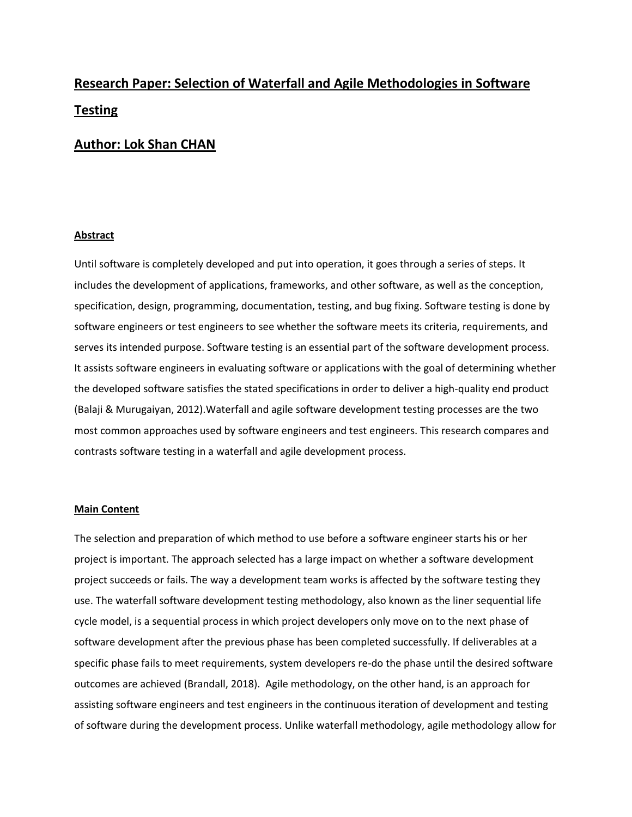# **Research Paper: Selection of Waterfall and Agile Methodologies in Software Testing**

## **Author: Lok Shan CHAN**

### **Abstract**

Until software is completely developed and put into operation, it goes through a series of steps. It includes the development of applications, frameworks, and other software, as well as the conception, specification, design, programming, documentation, testing, and bug fixing. Software testing is done by software engineers or test engineers to see whether the software meets its criteria, requirements, and serves its intended purpose. Software testing is an essential part of the software development process. It assists software engineers in evaluating software or applications with the goal of determining whether the developed software satisfies the stated specifications in order to deliver a high-quality end product (Balaji & Murugaiyan, 2012).Waterfall and agile software development testing processes are the two most common approaches used by software engineers and test engineers. This research compares and contrasts software testing in a waterfall and agile development process.

## **Main Content**

The selection and preparation of which method to use before a software engineer starts his or her project is important. The approach selected has a large impact on whether a software development project succeeds or fails. The way a development team works is affected by the software testing they use. The waterfall software development testing methodology, also known as the liner sequential life cycle model, is a sequential process in which project developers only move on to the next phase of software development after the previous phase has been completed successfully. If deliverables at a specific phase fails to meet requirements, system developers re-do the phase until the desired software outcomes are achieved (Brandall, 2018). Agile methodology, on the other hand, is an approach for assisting software engineers and test engineers in the continuous iteration of development and testing of software during the development process. Unlike waterfall methodology, agile methodology allow for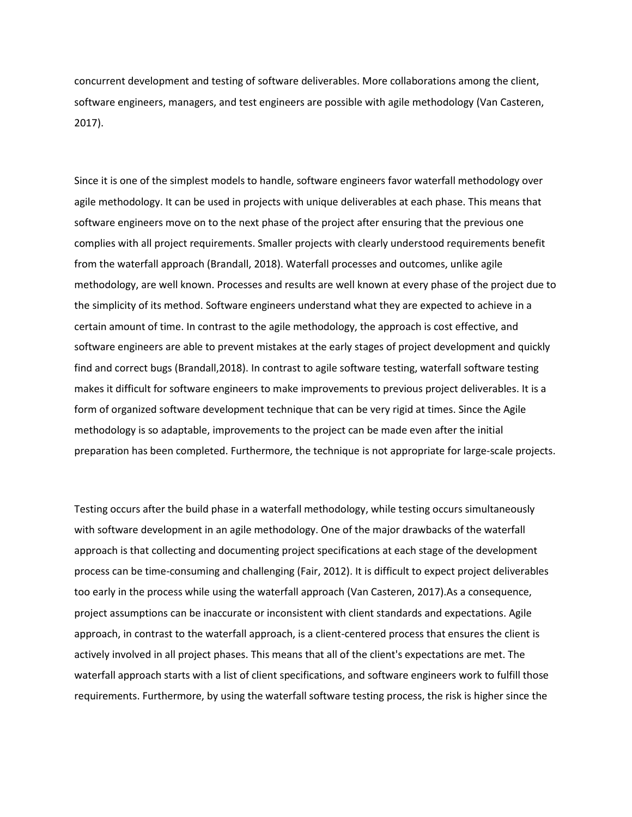concurrent development and testing of software deliverables. More collaborations among the client, software engineers, managers, and test engineers are possible with agile methodology (Van Casteren, 2017).

Since it is one of the simplest models to handle, software engineers favor waterfall methodology over agile methodology. It can be used in projects with unique deliverables at each phase. This means that software engineers move on to the next phase of the project after ensuring that the previous one complies with all project requirements. Smaller projects with clearly understood requirements benefit from the waterfall approach (Brandall, 2018). Waterfall processes and outcomes, unlike agile methodology, are well known. Processes and results are well known at every phase of the project due to the simplicity of its method. Software engineers understand what they are expected to achieve in a certain amount of time. In contrast to the agile methodology, the approach is cost effective, and software engineers are able to prevent mistakes at the early stages of project development and quickly find and correct bugs (Brandall,2018). In contrast to agile software testing, waterfall software testing makes it difficult for software engineers to make improvements to previous project deliverables. It is a form of organized software development technique that can be very rigid at times. Since the Agile methodology is so adaptable, improvements to the project can be made even after the initial preparation has been completed. Furthermore, the technique is not appropriate for large-scale projects.

Testing occurs after the build phase in a waterfall methodology, while testing occurs simultaneously with software development in an agile methodology. One of the major drawbacks of the waterfall approach is that collecting and documenting project specifications at each stage of the development process can be time-consuming and challenging (Fair, 2012). It is difficult to expect project deliverables too early in the process while using the waterfall approach (Van Casteren, 2017).As a consequence, project assumptions can be inaccurate or inconsistent with client standards and expectations. Agile approach, in contrast to the waterfall approach, is a client-centered process that ensures the client is actively involved in all project phases. This means that all of the client's expectations are met. The waterfall approach starts with a list of client specifications, and software engineers work to fulfill those requirements. Furthermore, by using the waterfall software testing process, the risk is higher since the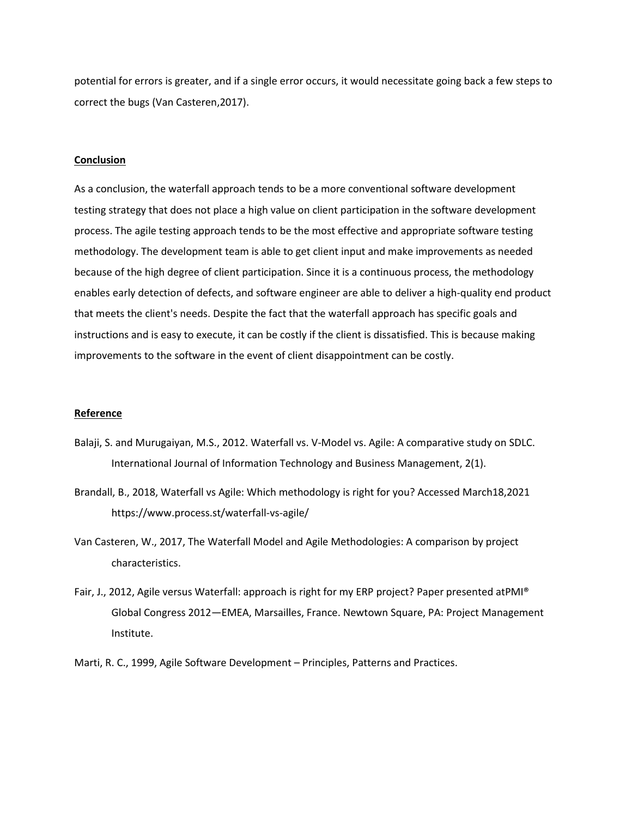potential for errors is greater, and if a single error occurs, it would necessitate going back a few steps to correct the bugs (Van Casteren,2017).

#### **Conclusion**

As a conclusion, the waterfall approach tends to be a more conventional software development testing strategy that does not place a high value on client participation in the software development process. The agile testing approach tends to be the most effective and appropriate software testing methodology. The development team is able to get client input and make improvements as needed because of the high degree of client participation. Since it is a continuous process, the methodology enables early detection of defects, and software engineer are able to deliver a high-quality end product that meets the client's needs. Despite the fact that the waterfall approach has specific goals and instructions and is easy to execute, it can be costly if the client is dissatisfied. This is because making improvements to the software in the event of client disappointment can be costly.

#### **Reference**

- Balaji, S. and Murugaiyan, M.S., 2012. Waterfall vs. V-Model vs. Agile: A comparative study on SDLC. International Journal of Information Technology and Business Management, 2(1).
- Brandall, B., 2018, Waterfall vs Agile: Which methodology is right for you? Accessed March18,2021 https://www.process.st/waterfall-vs-agile/
- Van Casteren, W., 2017, The Waterfall Model and Agile Methodologies: A comparison by project characteristics.
- Fair, J., 2012, Agile versus Waterfall: approach is right for my ERP project? Paper presented atPMI® Global Congress 2012—EMEA, Marsailles, France. Newtown Square, PA: Project Management Institute.
- Marti, R. C., 1999, Agile Software Development Principles, Patterns and Practices.